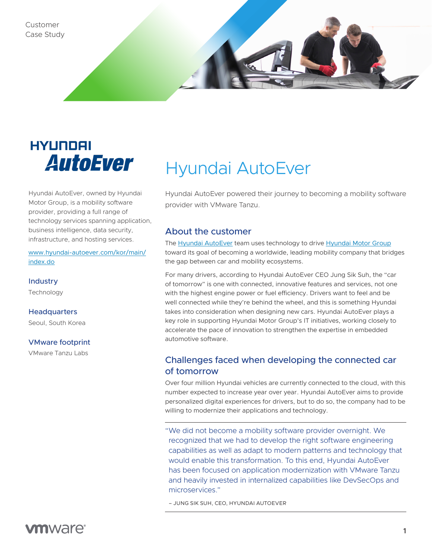

# HYUNDAI **AutoEver**

Hyundai AutoEver, owned by Hyundai Motor Group, is a mobility software provider, providing a full range of technology services spanning application, business intelligence, data security, infrastructure, and hosting services.

[www.hyundai-autoever.com/kor/main/](https://www.hyundai-autoever.com/kor/main/index.do) [index.do](https://www.hyundai-autoever.com/kor/main/index.do)

**Industry Technology** 

#### **Headquarters**

Seoul, South Korea

#### VMware footprint

VMware Tanzu Labs

# Hyundai AutoEver

Hyundai AutoEver powered their journey to becoming a mobility software provider with VMware Tanzu.

#### About the customer

The [Hyundai AutoEver](https://www.hyundai-autoever.com/kor/main/index.do) team uses technology to drive [Hyundai Motor Group](https://www.hyundaiusa.com/us/en) toward its goal of becoming a worldwide, leading mobility company that bridges the gap between car and mobility ecosystems.

For many drivers, according to Hyundai AutoEver CEO Jung Sik Suh, the "car of tomorrow" is one with connected, innovative features and services, not one with the highest engine power or fuel efficiency. Drivers want to feel and be well connected while they're behind the wheel, and this is something Hyundai takes into consideration when designing new cars. Hyundai AutoEver plays a key role in supporting Hyundai Motor Group's IT initiatives, working closely to accelerate the pace of innovation to strengthen the expertise in embedded automotive software.

### Challenges faced when developing the connected car of tomorrow

Over four million Hyundai vehicles are currently connected to the cloud, with this number expected to increase year over year. Hyundai AutoEver aims to provide personalized digital experiences for drivers, but to do so, the company had to be willing to modernize their applications and technology.

"We did not become a mobility software provider overnight. We recognized that we had to develop the right software engineering capabilities as well as adapt to modern patterns and technology that would enable this transformation. To this end, Hyundai AutoEver has been focused on application modernization with VMware Tanzu and heavily invested in internalized capabilities like DevSecOps and microservices."

– JUNG SIK SUH, CEO, HYUNDAI AUTOEVER

# **vm**ware<sup>®</sup>